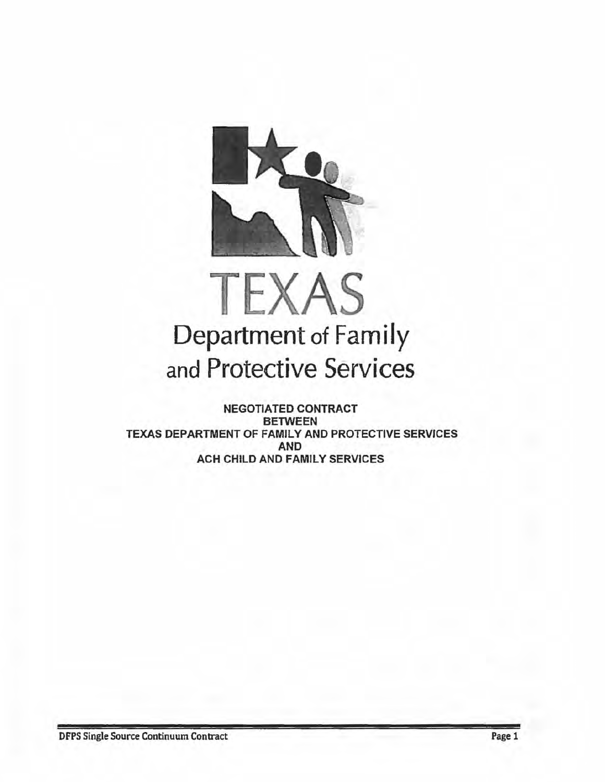

# TEXAS Department of Family and Protective Services

NEGOTIATED CONTRACT BETWEEN TEXAS DEPARTMENT OF FAMILY AND PROTECTIVE SERVICES AND ACH CHILD AND FAMILY SERVICES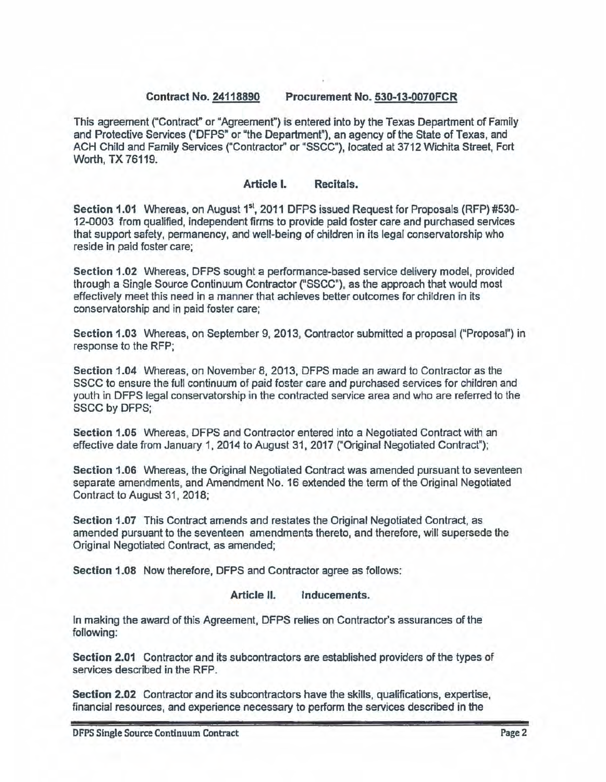# **Contract No. 24118890 Procurement No~ 530-13-0070FCR**

This agreement ("Contract" or "Agreement") is entered into by the Texas Department of Family and Protective Services ("DFPS" or "the Department"), an agency of the State of Texas, and ACH Child and Family Services ("Contractor" or "SSCC"), located at 3712 Wichita Street, Fort Worth, TX 76119.

#### **Article** I. **Recitals.**

Section 1.01 Whereas, on August 1<sup>st</sup>, 2011 DFPS issued Request for Proposals (RFP) #530-12-0003 from qualified, independent firms to provide paid foster care and purchased services that support safety, permanency, and well-being of children in its legal conservatorship who reside in paid foster care;

Section **1.02** Whereas, DFPS sought a performance-based service delivery model, provided through a Single Source Continuum Contractor ("SSCC"), as the approach that would most effectively meet this need in a manner that achieves better outcomes for children in its conservatorship and in paid foster care;

**Section 1.03** Whereas, on September 9, 2013. Contractor submitted a proposal ("Proposal") in response to the RFP;

**Section 1.04** Whereas, on November 8, 2013, DFPS made an award to Contractor as the SSCC to ensure the full continuum of paid foster care and purchased services for children and youth in DFPS legal conservatorship in the contracted service area and who are referred to the SSCC by DFPS;

**Section 1.05** Whereas, DFPS and Contractor entered into a Negotiated Contract with an effective date from January 1, 2014 to August 31, 2017 ("Original Negotiated Contract");

**Section 1.06** Whereas, the Original Negotiated Contract was amended pursuant to seventeen separate amendments, and Amendment No. 16 extended the term of the Original Negotiated Contract to August 31, 2018;

**Section 1.07** This Contract amends and restates the Original Negotiated Contract, as amended pursuant to the seventeen amendments thereto, and therefore, will supersede the Original Negotiated Contract, as amended;

**Section 1.08** Now therefore, DFPS and Contractor agree as follows:

#### **Article 11. Inducements.**

In making the award of this Agreement, DFPS relies on Contractor's assurances of the following:

**Section 2.01** Contractor and its subcontractors are established providers of the types of services described in the RFP.

**Section 2.02** Contractor and its subcontractors have the skills, qualifications, expertise, financial resources, and experience necessary to perform the services described in the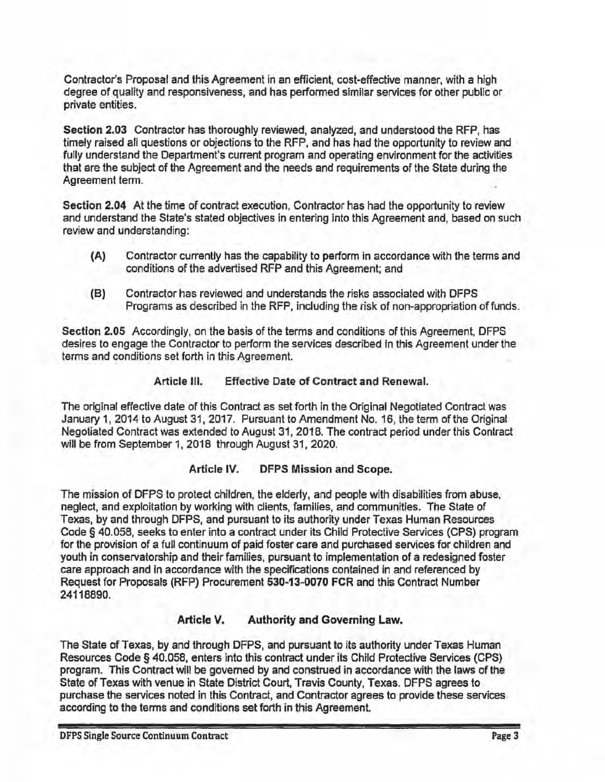Contractor's Proposal and this Agreement in an efficient, cost-effective manner, with a high degree of quality and responsiveness, and has performed similar services for other public or private entities.

**Section 2.03** Contractor has thoroughly reviewed, analyzed, and understood the RFP, has timely raised all questions or objections to the RFP, and has had the opportunity to review and fully understand the Department's current program and operating environment for the activities that are the subject of the Agreement and the needs and requirements of the State during the Agreement term.

Section **2.04** At the time of contract execution, Contractor has had the opportunity to review and understand the State's stated objectives in entering into this Agreement and, based on such review and understanding:

- **(A)** Contractor currently has the capability to perform in accordance with the terms and conditions of the advertised RFP and this Agreement; and
- (8) Contractor has reviewed and understands the risks associated with DFPS Programs as described in the RFP, including the risk of non-appropriation of funds.

Section 2.05 Accordingly, on the basis of the terms and conditions of this Agreement, DFPS desires to engage the Contractor to perform the services described in this Agreement under the terms and conditions set forth in this Agreement.

# **Article** Ill. Effective Date of Contract and Renewal.

The original effective date of this Contract as set forth in the Original Negotiated Contract was January 1, 2014 to August 31, 2017. Pursuant to Amendment No. 16, the term of the Original Negotiated Contract was extended to August 31, 2018. The contract period under this Contract will be from September 1, 2018 through August 31, 2020.

### **Article IV. DFPS Mission and Scope.**

The mission of DFPS to protect children, the elderly, and people with disabilities from abuse, neglect, and exploitation by working with clients, families, and communities. The State of Texas, by and through DFPS, and pursuant to its authority under Texas Human Resources Code§ 40.058, seeks to enter into a contract under its Child Protective Services (CPS) program for the provision of a full continuum of paid foster care and purchased services for children and youth in conservatorship and their families, pursuant to implementation of a redesigned foster care approach and in accordance with the specifications contained in and referenced by Request for Proposals (RFP) Procurement **530-13-0070** FCR and this Contract Number 24118890.

# **Article V. Authority and Governing Law.**

The State of Texas, by and through DFPS, and pursuant to its authority under Texas Human Resources Code§ 40.058, enters into this contract under its Child Protective Services (CPS} program. This Contract will be governed by and construed in accordance with the laws of the State of Texas with venue in State District Court, Travis County, Texas. DFPS agrees to purchase the services noted in this Contract, and Contractor agrees to provide these services according to the terms and conditions set forth in this Agreement.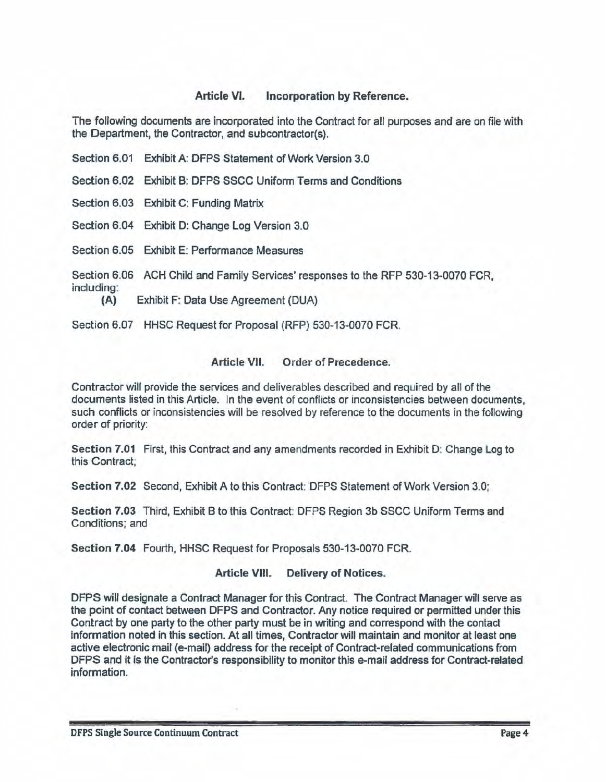# **Article VI. Incorporation by Reference.**

The following documents are incorporated into the Contract for all purposes and are on file with the Department, the Contractor, and subcontractor(s).

- Section 6.01 Exhibit A: DFPS Statement of Work Version 3.0
- Section 6.02 Exhibit B: DFPS SSCC Uniform Terms and Conditions
- Section 6.03 Exhibit C: Funding Matrix
- Section 6.04 Exhibit D: Change Log Version 3.0
- Section 6.05 Exhibit E: Performance Measures

Section 6.06 ACH Child and Family Services' responses to the RFP 530-13-0070 FCR, including:

**(A)** Exhibit F: Data Use Agreement (DUA}

Section 6.07 HHSC Request for Proposal (RFP) 530-13-0070 FCR.

### **Article VII.** Order of **Precedence.**

Contractor will provide the services and deliverables described and required by all of the documents listed in this Article. In the event of conflicts or inconsistencies between documents, such conflicts or inconsistencies will be resolved by reference to the documents in the following order of priority:

**Section 7.01** First, this Contract and any amendments recorded in Exhibit D: Change Log to this Contract;

**Section 7.02** Second, Exhibit A to this Contract: DFPS Statement of Work Version 3.0;

**Section 7.03** Third, Exhibit B to this Contract: DFPS Region 3b SSCC Uniform Terms and Conditions; and

**Section 7.04** Fourth, HHSC Request for Proposals 530-13-0070 FCR.

# **Article VIII. Delivery of Notices.**

DFPS will designate a Contract Manager for this Contract The Contract Manager will serve as the point of contact between DFPS and Contractor. Any notice required or permitted under this Contract by one party to the other party must be in writing and correspond with the contact information noted in this section. At all times, Contractor will maintain and monitor at least one active electronic mail (e-mail) address for the receipt of Contract-related communications from DFPS and it is the Contractor's responsibility to monitor this e-mail address for Contract-related information.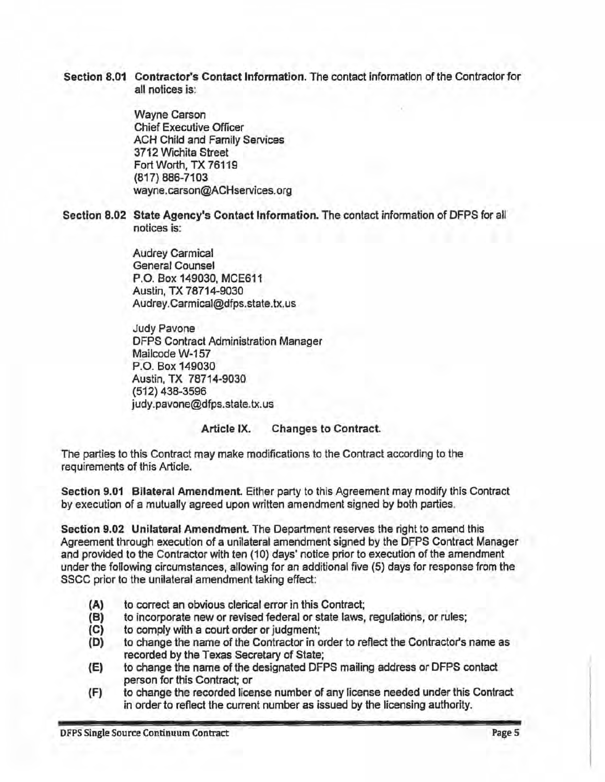Section **8.01** Contractor's Contact Information. The contact information of the Contractor for all notices is:

> Wayne Carson Chief Executive Officer ACH Child and Family Services 3712 Wichita Street Fort Worth, TX 76119 {817) 886-7103 wayne.carson@ACHservices.org

**Section 8.02 State Agency's Contact Information.** The contact information of DFPS for all notices is:

> Audrey Carmical General Counsel P.O. Box 149030, MCE611 Austin, TX 78714-9030 Audrey. Carmical@dfps. state. tx.us

Judy Pavone DFPS Contract Administration Manager Mailcode W-157 P.O. Box 149030 Austin, TX 78714-9030 (512} 438-3596 judy.pavone@dfps.state.tx.us

### **Article IX. Changes to Contract.**

The parties to this Contract may make modifications to the Contract according to the requirements of this Article.

**Section 9.01 Bilateral Amendment** Either party to this Agreement may modify this Contract by execution of a mutually agreed upon written amendment signed by both parties.

**Section 9.02 Unilateral Amendment** The Department reserves the right to amend this Agreement through execution of a unilateral amendment signed by the DFPS Contract Manager and provided to the Contractor with ten (10) days' notice prior to execution of the amendment under the following circumstances, allowing for an additional five (5) days for response from the SSCC prior to the unilateral amendment taking effect:

- (A) to correct an obvious clerical error in this Contract;
- **(B)** to incorporate new or revised federal or state laws, regulations, or rules;
- (C) to comply with a court order or judgment;
- (D) to change the name of the Contractor in order to reflect the Contractor's name as recorded by the Texas Secretary of State;
- (E) to change the name of the designated OFPS mailing address or DFPS contact person for this Contract; or
- (F) to change the recorded license number of any license needed under this Contract in order to reflect the current number as issued by the licensing authority.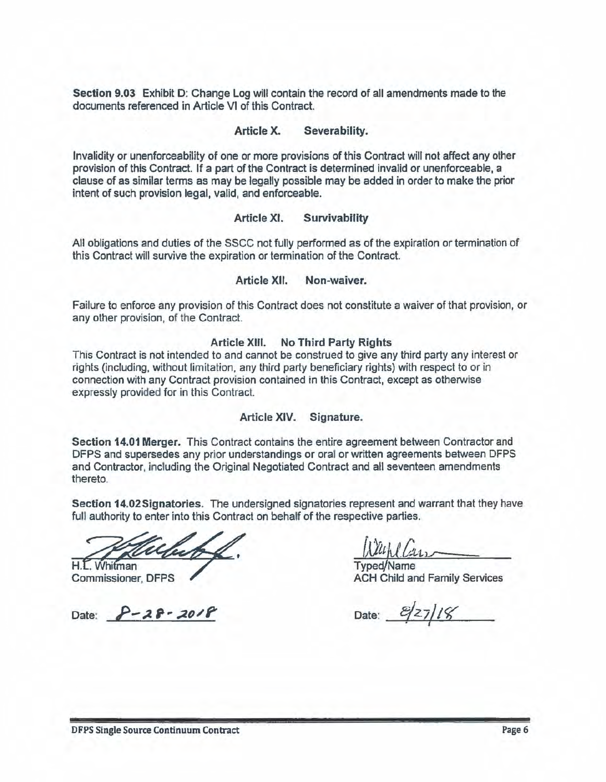**Section 9.03** Exhibit D: Change Log will contain the record of all amendments made to the documents referenced in Article VI of this Contract.

#### **Article X. Severability.**

Invalidity or unenforceability of one or more provisions of this Contract will not affect any other provision of this Contract. If a part of the Contract is determined invalid or unenforceable, a clause of as similar terms as may be legally possible may be added in order to make the prior intent of such provision legal, valid, and enforceable.

#### **Article XI. Survivability**

All obligations and duties of the SSCC not fully performed as of the expiration or termination of this Contract will survive the expiration or termination of the Contract.

#### **Article XII. Non-waiver.**

Failure to enforce any provision of this Contract does not constitute a waiver of that provision, or any other provision, of the Contract.

#### **Article XIII. No Third Party Rights**

This Contract is not intended to and cannot be construed to give any third party any interest or rights (including, without limitation, any third party beneficiary rights) with respect to or in connection with any Contract provision contained in this Contract, except as otherwise expressly provided for in this Contract.

#### **Article XIV. Signature.**

**Section 14.01 Merger.** This Contract contains the entire agreement between Contractor and DFPS and supersedes any prior understandings or ora1or written agreements between DFPS and Contractor, including the Original Negotiated Contract and all seventeen amendments thereto.

**Section 14.02Signatories.** The undersigned signatories represent and warrant that they have full authority to enter into this Contract on behalf of the respective parties.

H.L. Whitman **Commissioner, DFPS** 

Date:  $P-28-2018$  Date:  $2/118$ 

Typed/Name ACH Child and Family Services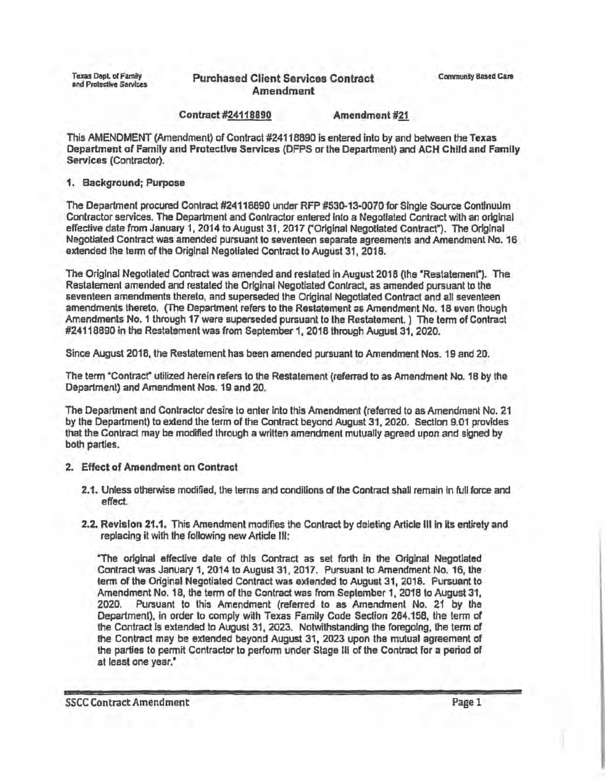# Purchased Client Services Contract Community Based Care Amendment

#### Contract #24118890 Amendment #21

This AMENDMENT (Amendment) of Contract #24118890 Is entered into by and between the Texas Department of Family and Protective Services (DFPS or the Department} and ACH Child and Family **Services** (Contractor).

#### **1. Background; Purpose**

The Department procured Contract #24118890 under RFP #530-13-0070 for Single Source Continuum Contractor services. The Department and Contractor entered Into a Negotiated Contract with an original effective date from January 1, 2014 to August 31, 2017 ("Original Negotiated Contract"). The Original Negotiated Contract was amended pursuant to seventeen separate agreements and Amendment No. 16 extended the term of the Original Negotiated Contract to August 31, 2018.

The Original Negotiated Contract was amended and restated in August 2018 (the "Restatement"). The Restatement amended and restated the Original Negotiated Conlract, as amended pursuant to the seventeen amendments thereto, and superseded the Original Negotlated Contract and all seventeen amendments thereto. (The Department refers to the Restatement as Amendment No. 18 even though Amendments No. 1 through 17 were superseded pursuant to the Restatement. ) The term of Contract #24118890 In the Restatement was from September 1, 2018 through August 31, 2020.

Since August 2018, the Restatement has been amended pursuant to Amendment Nos. 19 and 20.

The term "Contracr utilized herein refers to the Restatement (referred to as Amendment No. 18 by the Department) and Amendment Nos. 19 and 20.

The Department and Contractor desire to enter into this Amendment (referred to as Amendment No. 21 by the Department) to extend the term of the Contract beyond August 31, 2020. Section 9.01 provides that the Contract may be modified through a written amendment mutually agreed upon and signed by both parties.

- 2. Effect of Amendment on Contract
	- 2.1. Unless otherwise modified, the terms and conditions of the Contract shall remain In full force and effed.
	- 2.2. Revision 21.1. This Amendment modifies the Contract by deleting Article Ill In Its entirety and replacing it with the following new Article Ill:

 rhe original effective date of this Contract as set forth in the Original Negotiated Contract was January 1, 2014 to August 31, 2017. Pursuant to Amendment No. 16, the term of the Original Negotiated Contract was extended to August 31, 2018. Pursuant to Amendment No. 18, the term of the Contract was from September 1, 2018 to August 31, 2020. Pursuant to this Amendment (referred to as Amendment No. 21 by the Department), in order to comply with Texas Family Code Section 264.158, the term of the Contract Is extended to August 31, 2023. Notwithstanding the foregoing, the term of the Contract may be extended beyond August 31, 2023 upon the mutual agreement of the parties to permit Contractor to perform under Slage lll of the Contract for a period of at least one year."

SSCC Contract Amendment Page 1